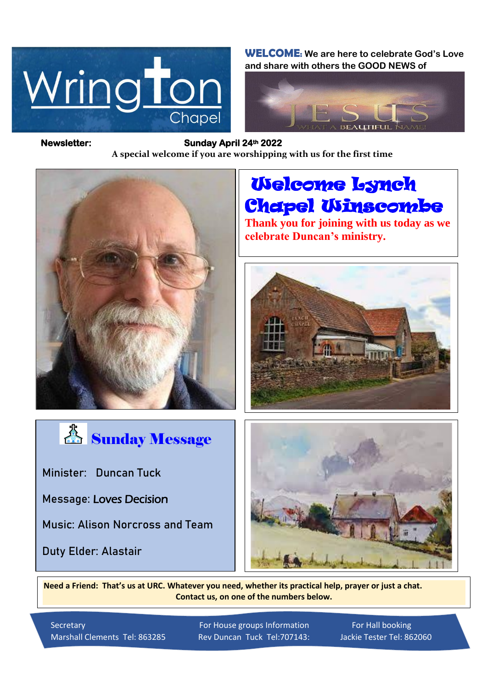

**WELCOME: We are here to celebrate God's Love and share with others the GOOD NEWS of**



*Figure 1ready steady* **A special welcome if you are worshipping with us for the first time Newsletter: Sunday April 24th 2022** 



 Welcome Lynch Chapel Winscombe

**Thank you for joining with us today as we celebrate Duncan's ministry.**





**Minister: Duncan Tuck**

**Message:** Loves Decision

**Music: Alison Norcross and Team**

**Duty Elder: Alastair**



**Need a Friend: That's us at URC. Whatever you need, whether its practical help, prayer or just a chat. Contact us, on one of the numbers below.**

Marshall Clements Tel: 863285 Rev Duncan Tuck Tel:707143: Jackie Tester Tel: 862060

Secretary For House groups Information For Hall booking